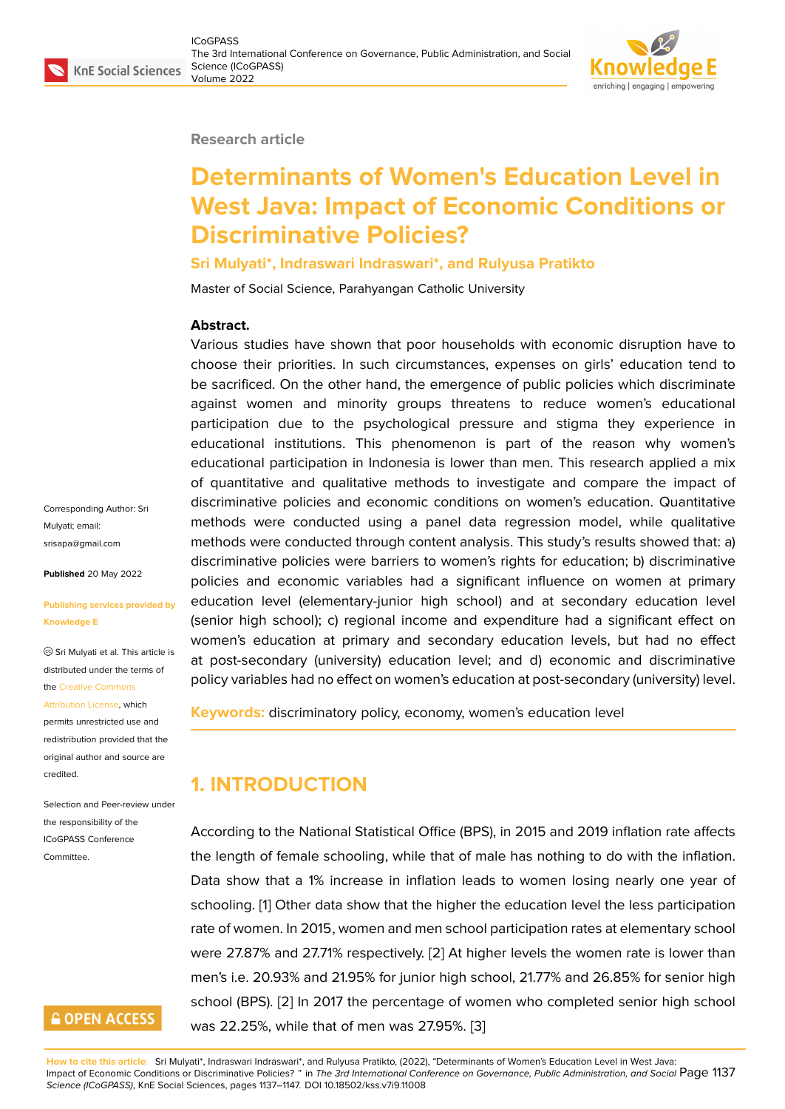### **Research article**

# **Determinants of Women's Education Level in West Java: Impact of Economic Conditions or Discriminative Policies?**

### **Sri Mulyati\*, Indraswari Indraswari\*, and Rulyusa Pratikto**

Master of Social Science, Parahyangan Catholic University

### **Abstract.**

Various studies have shown that poor households with economic disruption have to choose their priorities. In such circumstances, expenses on girls' education tend to be sacrificed. On the other hand, the emergence of public policies which discriminate against women and minority groups threatens to reduce women's educational participation due to the psychological pressure and stigma they experience in educational institutions. This phenomenon is part of the reason why women's educational participation in Indonesia is lower than men. This research applied a mix of quantitative and qualitative methods to investigate and compare the impact of discriminative policies and economic conditions on women's education. Quantitative methods were conducted using a panel data regression model, while qualitative methods were conducted through content analysis. This study's results showed that: a) discriminative policies were barriers to women's rights for education; b) discriminative policies and economic variables had a significant influence on women at primary education level (elementary-junior high school) and at secondary education level (senior high school); c) regional income and expenditure had a significant effect on women's education at primary and secondary education levels, but had no effect at post-secondary (university) education level; and d) economic and discriminative policy variables had no effect on women's education at post-secondary (university) level.

**Keywords:** discriminatory policy, economy, women's education level

# **1. INTRODUCTION**

According to the National Statistical Office (BPS), in 2015 and 2019 inflation rate affects the length of female schooling, while that of male has nothing to do with the inflation. Data show that a 1% increase in inflation leads to women losing nearly one year of schooling. [1] Other data show that the higher the education level the less participation rate of women. In 2015, women and men school participation rates at elementary school were 27.87% and 27.71% respectively. [2] At higher levels the women rate is lower than men's i.e. 2[0](#page-9-0).93% and 21.95% for junior high school, 21.77% and 26.85% for senior high school (BPS). [2] In 2017 the percentage of women who completed senior high school was 22.25%, while that of men was 2[7.9](#page-9-1)5%. [3]

**How to cite this article**: Sri Mulyati\*, Indraswari Indraswari\*, and Rulyusa Pratikto, (2022), "Determinants of Women's Education Level in West Java: Impact of Economic Conditions or Discriminative Polici[es?](#page-9-1) " in *The 3rd International Conference on Governance, Public Administration, and Social* Page 1137 *Science (ICoGPASS)*, KnE Social Sciences, pages 1137–1147. DOI 10.18502/kss.v7i9.11008

Corresponding Author: Sri Mulyati; email: srisapa@gmail.com

**Published** 20 May 2022

### **[Publishing services](mailto:srisapa@gmail.com) provided by Knowledge E**

Sri Mulyati et al. This article is distributed under the terms of the Creative Commons

#### Attribution License, which

permits unrestricted use and redistribution provided that the orig[inal author and sou](https://creativecommons.org/licenses/by/4.0/)rce are [credited.](https://creativecommons.org/licenses/by/4.0/)

Selection and Peer-review under the responsibility of the ICoGPASS Conference Committee.

## **GOPEN ACCESS**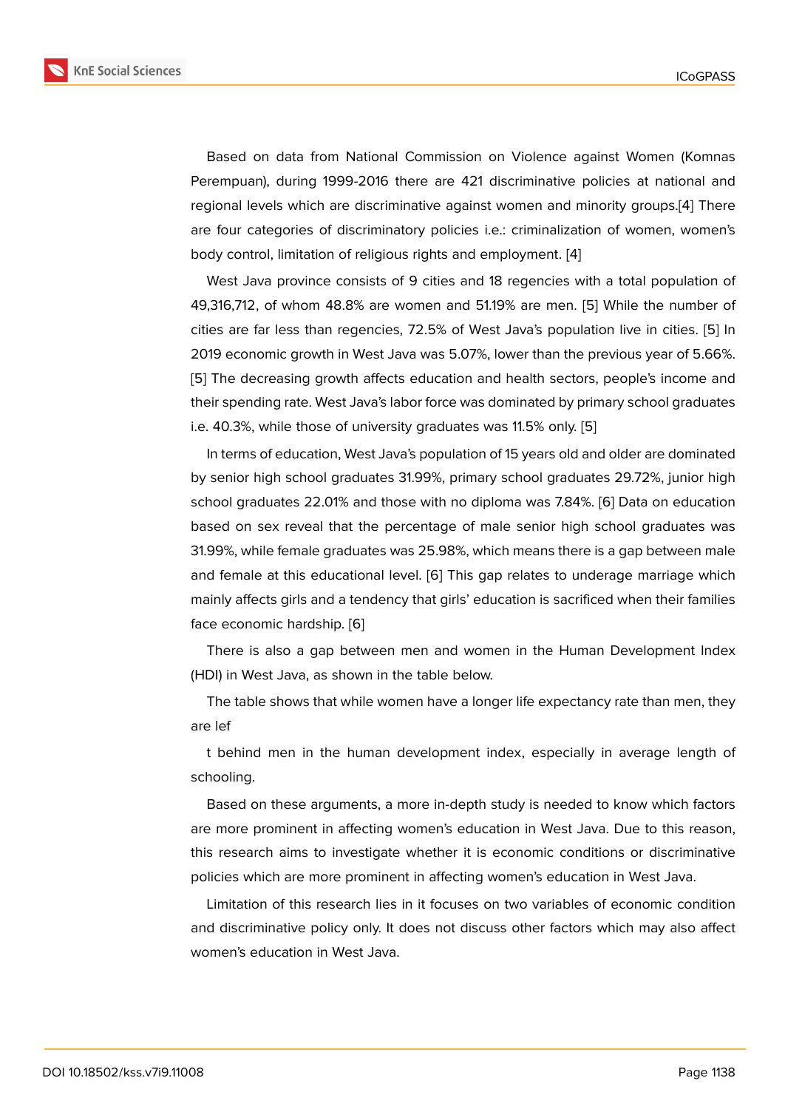Based on data from National Commission on Violence against Women (Komnas Perempuan), during 1999-2016 there are 421 discriminative policies at national and regional levels which are discriminative against women and minority groups.[4] There are four categories of discriminatory policies i.e.: criminalization of women, women's body control, limitation of religious rights and employment. [4]

West Java province consists of 9 cities and 18 regencies with a total pop[ula](#page-9-2)tion of 49,316,712, of whom 48.8% are women and 51.19% are men. [5] While the number of cities are far less than regencies, 72.5% of West Java's po[pu](#page-9-2)lation live in cities. [5] In 2019 economic growth in West Java was 5.07%, lower than the previous year of 5.66%. [5] The decreasing growth affects education and health secto[rs](#page-9-3), people's income and their spending rate. West Java's labor force was dominated by primary school grad[ua](#page-9-3)tes i.e. 40.3%, while those of university graduates was 11.5% only. [5]

In terms of education, West Java's population of 15 years old and older are dominated by senior high school graduates 31.99%, primary school graduates 29.72%, junior high school graduates 22.01% and those with no diploma was 7.84[%.](#page-9-3) [6] Data on education based on sex reveal that the percentage of male senior high school graduates was 31.99%, while female graduates was 25.98%, which means there is a gap between male and female at this educational level. [6] This gap relates to und[era](#page-9-4)ge marriage which mainly affects girls and a tendency that girls' education is sacrificed when their families face economic hardship. [6]

There is also a gap between men [a](#page-9-4)nd women in the Human Development Index (HDI) in West Java, as shown in the table below.

The table shows that w[hi](#page-9-4)le women have a longer life expectancy rate than men, they are lef

t behind men in the human development index, especially in average length of schooling.

Based on these arguments, a more in-depth study is needed to know which factors are more prominent in affecting women's education in West Java. Due to this reason, this research aims to investigate whether it is economic conditions or discriminative policies which are more prominent in affecting women's education in West Java.

Limitation of this research lies in it focuses on two variables of economic condition and discriminative policy only. It does not discuss other factors which may also affect women's education in West Java.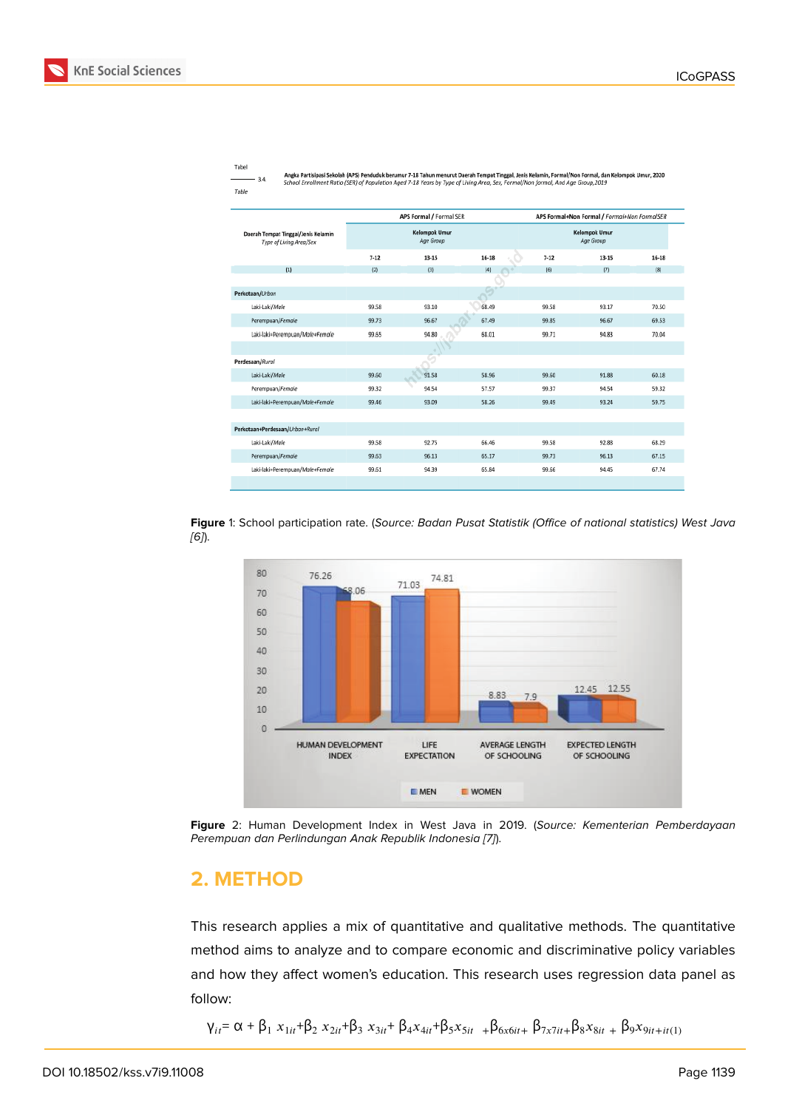#### Tabel

 $-3.4.$ 

Angka Partisipasi Sekolah (APS) Penduduk berumur 7-18 Tahun menurut Daerah Temgat Tinggal, Jenis Kelamin, Formal/Non Formal, dan Kelompok Umur, 2020<br>School Enrollment Ratio (SER) of Population Aged 7-18 Years by Type of Li

|  | ×<br>٠ | ٠ |  |
|--|--------|---|--|
|  |        |   |  |

|                                                                | APS Formal / Formal SER    |       |           |          | APS Formal+Non Formal / Formal+Non FormalSER |         |  |
|----------------------------------------------------------------|----------------------------|-------|-----------|----------|----------------------------------------------|---------|--|
| Daerah Tempat Tinggal/Jenis Kelamin<br>Type of Living Area/Sex | Kelompok Umur<br>Age Group |       |           |          | Kelompok Umur<br>Age Group                   |         |  |
|                                                                | $7-12$                     | 13-15 | $16 - 18$ | $7 - 12$ | 13-15                                        | $16-18$ |  |
| (1)                                                            | (2)                        | (3)   | (4)       | (6)      | (7)                                          | [8]     |  |
|                                                                |                            |       |           |          |                                              |         |  |
| Perkotaan/Urban                                                |                            |       |           |          |                                              |         |  |
| Laki-Laki/Male                                                 | 99.58                      | 93.10 | 68.49     | 99.58    | 93.17                                        | 70.50   |  |
| Perempuan/Female                                               | 99.73                      | 96.67 | 67.49     | 99.85    | 96.67                                        | 69.53   |  |
| Laki-laki+Perempuan/Male+Female                                | 99.65                      | 94.80 | 68.01     | 99.71    | 94.83                                        | 70.04   |  |
|                                                                |                            |       |           |          |                                              |         |  |
| Perdesaan/Rural                                                |                            | œ     |           |          |                                              |         |  |
| Laki-Laki/Male                                                 | 99.60                      | 91.58 | 58.96     | 99.60    | 91.88                                        | 60.18   |  |
| Perempuan/Female                                               | 99.32                      | 94.54 | 57.57     | 99.37    | 94.54                                        | 59.32   |  |
| Laki-laki+Perempuan/Male+Female                                | 99.46                      | 93.09 | 58.26     | 99.49    | 93.24                                        | 59.75   |  |
|                                                                |                            |       |           |          |                                              |         |  |
| Perkotaan+Perdesaan/Urban+Rural                                |                            |       |           |          |                                              |         |  |
| Laki-Laki/Male                                                 | 99.58                      | 92.75 | 66.46     | 99.58    | 92.88                                        | 68.29   |  |
| Perempuan/Female                                               | 99.63                      | 96.13 | 65.17     | 99.73    | 96.13                                        | 67.15   |  |
| Laki-laki+Perempuan/Male+Female                                | 99.61                      | 94.39 | 65.84     | 99.66    | 94.45                                        | 67.74   |  |
|                                                                |                            |       |           |          |                                              |         |  |

**Figure** 1: School participation rate. (*Source: Badan Pusat Statistik (Office of national statistics) West Java [6]*).



**Figure** 2: Human Development Index in West Java in 2019. (*Source: Kementerian Pemberdayaan Perempuan dan Perlindungan Anak Republik Indonesia [7]*).

# **2. METHOD**

This research applies a mix of quantitative and qualitative methods. The quantitative method aims to analyze and to compare economic and discriminative policy variables and how they affect women's education. This research uses regression data panel as follow:

$$
V_{it} = \alpha + \beta_1 x_{1it} + \beta_2 x_{2it} + \beta_3 x_{3it} + \beta_4 x_{4it} + \beta_5 x_{5it} + \beta_6 x_{6it} + \beta_7 x_{7it} + \beta_8 x_{8it} + \beta_9 x_{9it} + it(1)
$$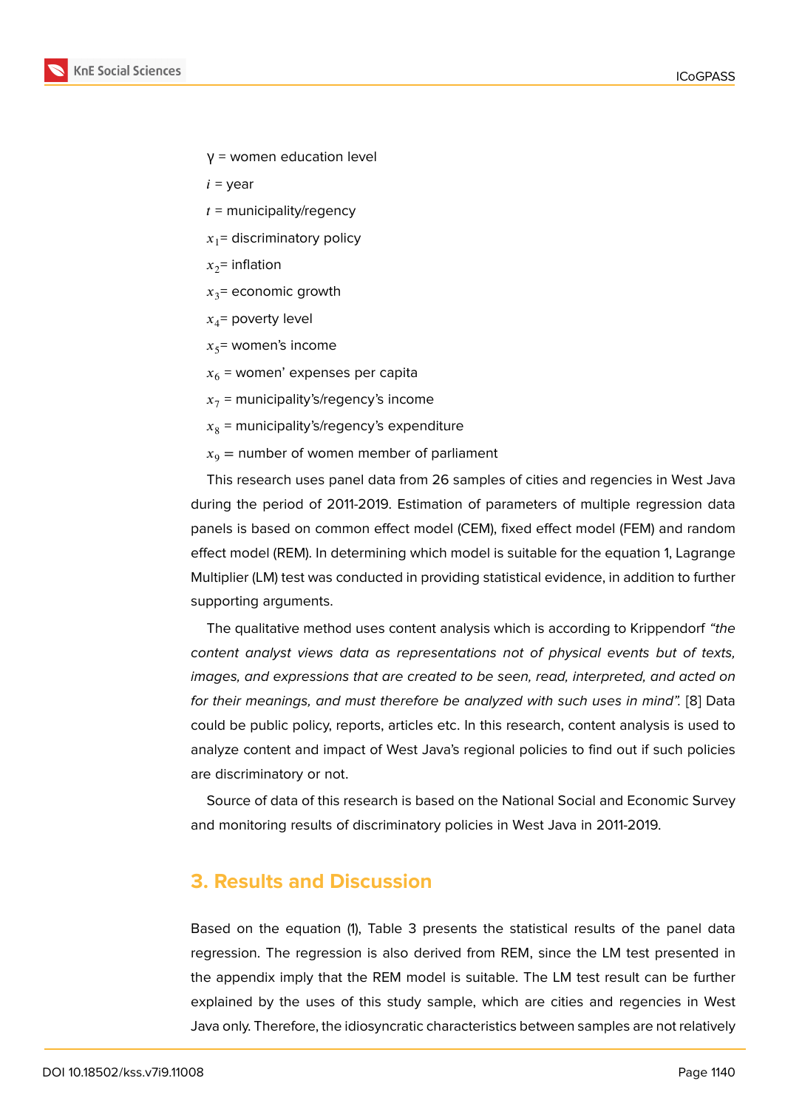- $γ =$  women education level
- $i =$  year
- $t =$  municipality/regency
- $x_1$ = discriminatory policy
- $x_2$ = inflation
- $x_3$ = economic growth
- $x_4$ = poverty level
- $x_5$ = women's income
- $x_6$  = women' expenses per capita
- $x_7$  = municipality's/regency's income
- $x_8$  = municipality's/regency's expenditure
- $x_9$  = number of women member of parliament

This research uses panel data from 26 samples of cities and regencies in West Java during the period of 2011-2019. Estimation of parameters of multiple regression data panels is based on common effect model (CEM), fixed effect model (FEM) and random effect model (REM). In determining which model is suitable for the equation 1, Lagrange Multiplier (LM) test was conducted in providing statistical evidence, in addition to further supporting arguments.

The qualitative method uses content analysis which is according to Krippendorf *"the content analyst views data as representations not of physical events but of texts, images, and expressions that are created to be seen, read, interpreted, and acted on for their meanings, and must therefore be analyzed with such uses in mind".* [8] Data could be public policy, reports, articles etc. In this research, content analysis is used to analyze content and impact of West Java's regional policies to find out if such policies are discriminatory or not.

Source of data of this research is based on the National Social and Economic Survey and monitoring results of discriminatory policies in West Java in 2011-2019.

# **3. Results and Discussion**

Based on the equation (1), Table 3 presents the statistical results of the panel data regression. The regression is also derived from REM, since the LM test presented in the appendix imply that the REM model is suitable. The LM test result can be further explained by the uses of this study sample, which are cities and regencies in West Java only. Therefore, the idiosyncratic characteristics between samples are not relatively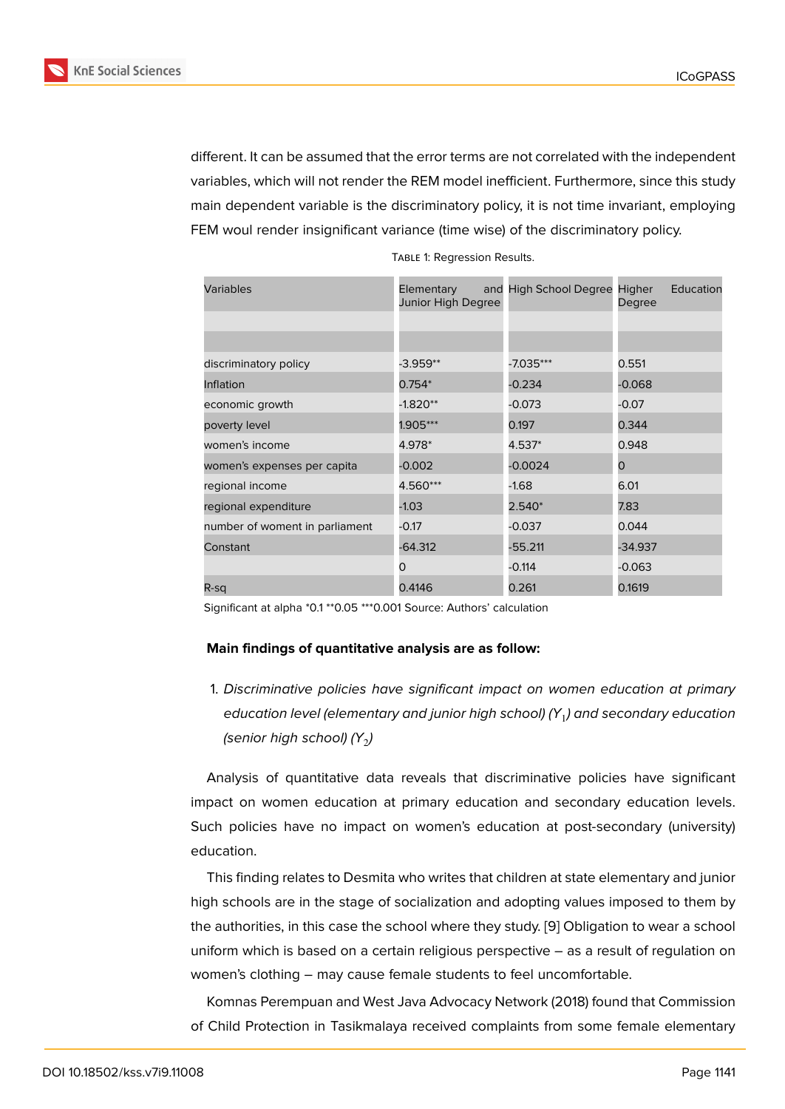different. It can be assumed that the error terms are not correlated with the independent variables, which will not render the REM model inefficient. Furthermore, since this study main dependent variable is the discriminatory policy, it is not time invariant, employing FEM woul render insignificant variance (time wise) of the discriminatory policy.

| Variables                      | Elementary<br>Junior High Degree | and High School Degree Higher | Education<br>Degree |
|--------------------------------|----------------------------------|-------------------------------|---------------------|
|                                |                                  |                               |                     |
| discriminatory policy          | $-3.959**$                       | -7.035***                     | 0.551               |
| Inflation                      | $0.754*$                         | $-0.234$                      | $-0.068$            |
| economic growth                | $-1.820**$                       | $-0.073$                      | $-0.07$             |
| poverty level                  | 1.905***                         | 0.197                         | 0.344               |
| women's income                 | 4.978*                           | 4.537*                        | 0.948               |
| women's expenses per capita    | $-0.002$                         | $-0.0024$                     | 0                   |
| regional income                | 4.560***                         | $-1.68$                       | 6.01                |
| regional expenditure           | $-1.03$                          | $2.540*$                      | 7.83                |
| number of woment in parliament | $-0.17$                          | $-0.037$                      | 0.044               |
| Constant                       | $-64.312$                        | -55.211                       | -34.937             |
|                                | $\mathbf{\Omega}$                | $-0.114$                      | $-0.063$            |
| R-sq                           | 0.4146                           | 0.261                         | 0.1619              |

Table 1: Regression Results.

Significant at alpha \*0.1 \*\*0.05 \*\*\*0.001 Source: Authors' calculation

#### **Main findings of quantitative analysis are as follow:**

1. *Discriminative policies have significant impact on women education at primary education level (elementary and junior high school) (Y*<sup>1</sup> *) and secondary education (senior high school) (Y* $_{2}$ *)* 

Analysis of quantitative data reveals that discriminative policies have significant impact on women education at primary education and secondary education levels. Such policies have no impact on women's education at post-secondary (university) education.

This finding relates to Desmita who writes that children at state elementary and junior high schools are in the stage of socialization and adopting values imposed to them by the authorities, in this case the school where they study. [9] Obligation to wear a school uniform which is based on a certain religious perspective – as a result of regulation on women's clothing – may cause female students to feel uncomfortable.

Komnas Perempuan and West Java Advocacy Networ[k \(2](#page-10-0)018) found that Commission of Child Protection in Tasikmalaya received complaints from some female elementary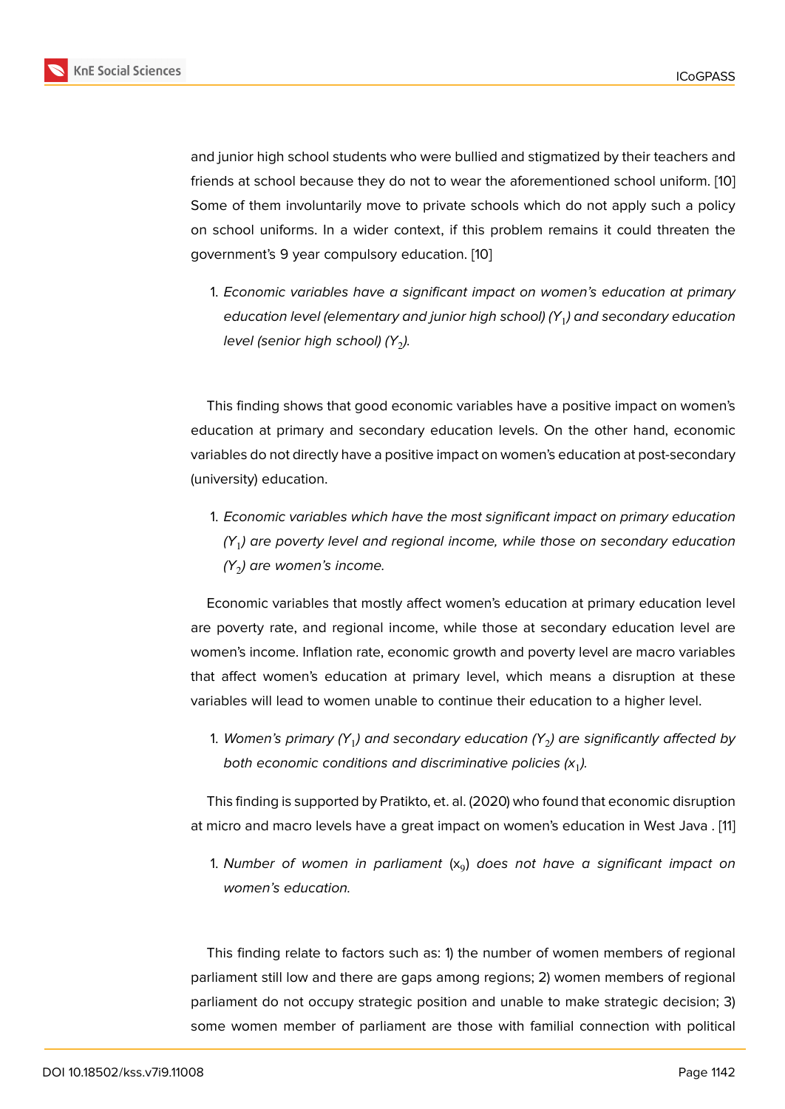and junior high school students who were bullied and stigmatized by their teachers and friends at school because they do not to wear the aforementioned school uniform. [10] Some of them involuntarily move to private schools which do not apply such a policy on school uniforms. In a wider context, if this problem remains it could threaten the government's 9 year compulsory education. [10]

1. *Economic variables have a significant impact on women's education at primary education level (elementary and junior [hig](#page-10-1)h school) (Y*<sup>1</sup> *) and secondary education level (senior high school) (Y<sub>2</sub>).* 

This finding shows that good economic variables have a positive impact on women's education at primary and secondary education levels. On the other hand, economic variables do not directly have a positive impact on women's education at post-secondary (university) education.

1. *Economic variables which have the most significant impact on primary education (Y*<sup>1</sup> *) are poverty level and regional income, while those on secondary education (Y*<sup>2</sup> *) are women's income.*

Economic variables that mostly affect women's education at primary education level are poverty rate, and regional income, while those at secondary education level are women's income. Inflation rate, economic growth and poverty level are macro variables that affect women's education at primary level, which means a disruption at these variables will lead to women unable to continue their education to a higher level.

1. *Women's primary (Y*<sup>1</sup> *) and secondary education (Y*<sup>2</sup> *) are significantly affected by* both economic conditions and discriminative policies  $(x_1)$ .

This finding is supported by Pratikto, et. al. (2020) who found that economic disruption at micro and macro levels have a great impact on women's education in West Java . [11]

1. *Number of women in parliament* (x<sup>9</sup> ) *does not have a significant impact on women's education.*

This finding relate to factors such as: 1) the number of women members of regional parliament still low and there are gaps among regions; 2) women members of regional parliament do not occupy strategic position and unable to make strategic decision; 3) some women member of parliament are those with familial connection with political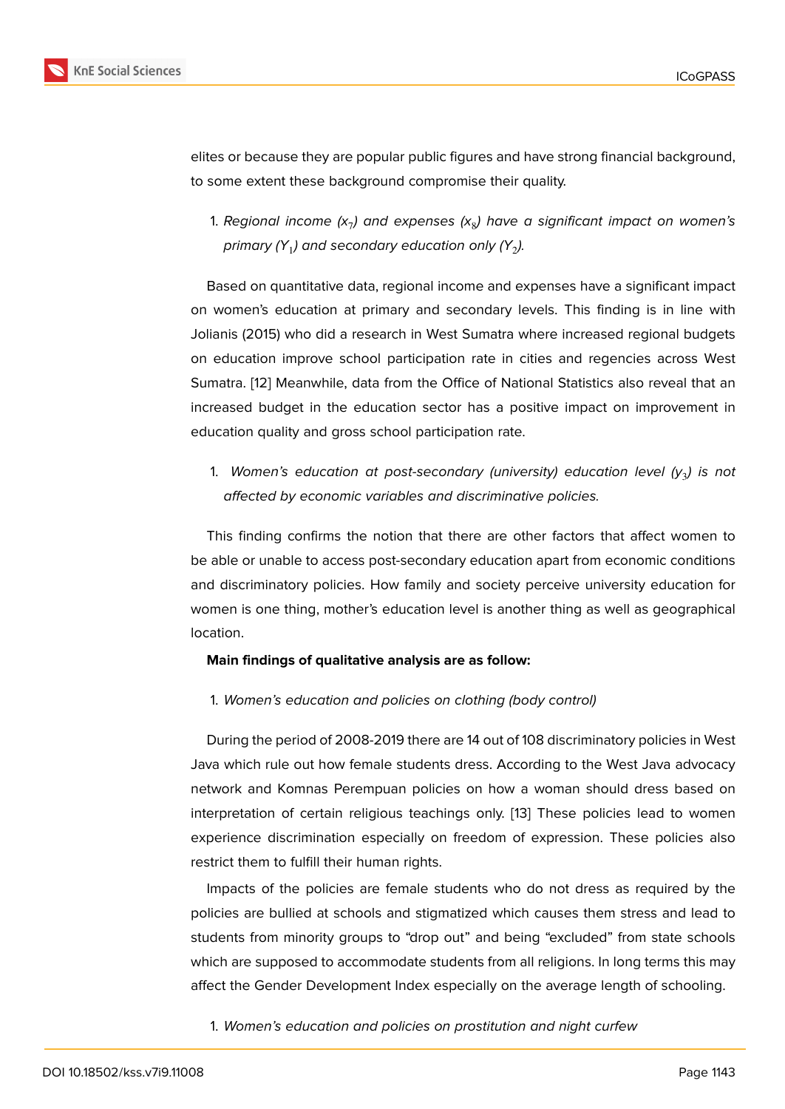elites or because they are popular public figures and have strong financial background, to some extent these background compromise their quality.

1. *Regional income (x*<sup>7</sup> *) and expenses (x*<sup>8</sup> *) have a significant impact on women's* primary (Y $_{1}$ ) and secondary education only (Y $_{2}$ ).

Based on quantitative data, regional income and expenses have a significant impact on women's education at primary and secondary levels. This finding is in line with Jolianis (2015) who did a research in West Sumatra where increased regional budgets on education improve school participation rate in cities and regencies across West Sumatra. [12] Meanwhile, data from the Office of National Statistics also reveal that an increased budget in the education sector has a positive impact on improvement in education quality and gross school participation rate.

1. *Women's education at post-secondary (university) education level (y*<sup>3</sup> *) is not affected by economic variables and discriminative policies.*

This finding confirms the notion that there are other factors that affect women to be able or unable to access post-secondary education apart from economic conditions and discriminatory policies. How family and society perceive university education for women is one thing, mother's education level is another thing as well as geographical location.

### **Main findings of qualitative analysis are as follow:**

1. *Women's education and policies on clothing (body control)*

During the period of 2008-2019 there are 14 out of 108 discriminatory policies in West Java which rule out how female students dress. According to the West Java advocacy network and Komnas Perempuan policies on how a woman should dress based on interpretation of certain religious teachings only. [13] These policies lead to women experience discrimination especially on freedom of expression. These policies also restrict them to fulfill their human rights.

Impacts of the policies are female students wh[o d](#page-10-2)o not dress as required by the policies are bullied at schools and stigmatized which causes them stress and lead to students from minority groups to "drop out" and being "excluded" from state schools which are supposed to accommodate students from all religions. In long terms this may affect the Gender Development Index especially on the average length of schooling.

1. *Women's education and policies on prostitution and night curfew*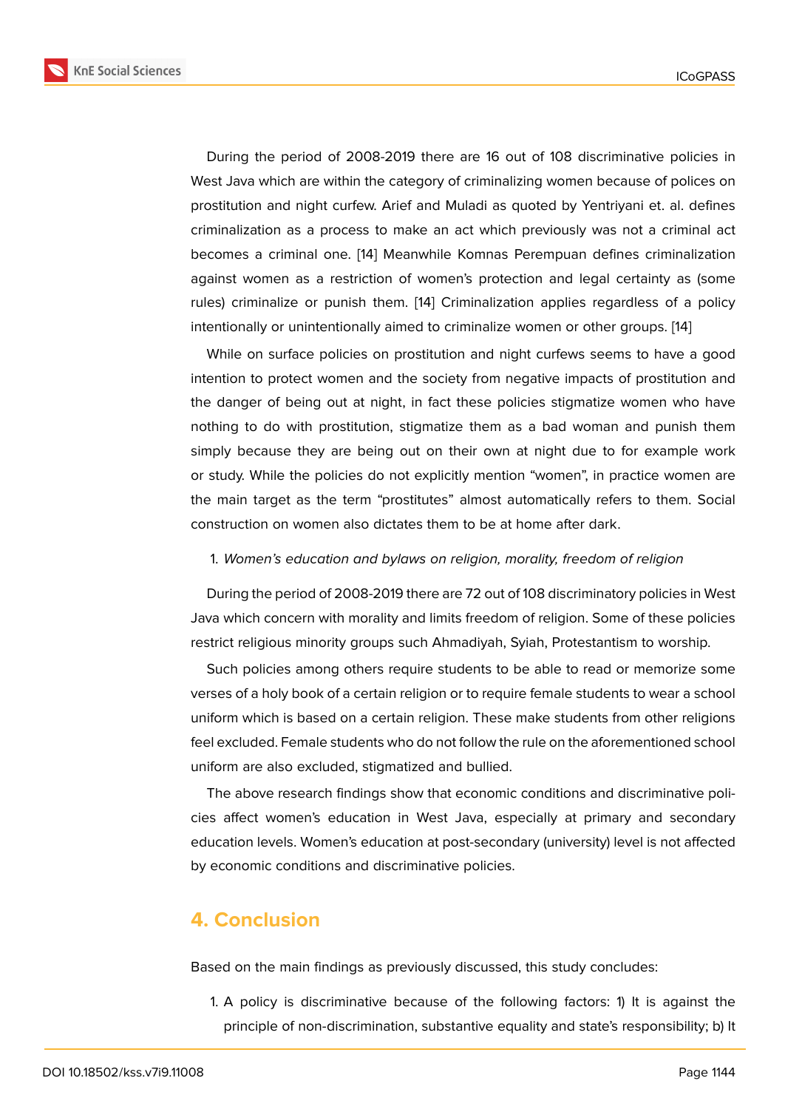During the period of 2008-2019 there are 16 out of 108 discriminative policies in West Java which are within the category of criminalizing women because of polices on prostitution and night curfew. Arief and Muladi as quoted by Yentriyani et. al. defines criminalization as a process to make an act which previously was not a criminal act becomes a criminal one. [14] Meanwhile Komnas Perempuan defines criminalization against women as a restriction of women's protection and legal certainty as (some rules) criminalize or punish them. [14] Criminalization applies regardless of a policy intentionally or unintention[ally](#page-10-3) aimed to criminalize women or other groups. [14]

While on surface policies on prostitution and night curfews seems to have a good intention to protect women and the [so](#page-10-3)ciety from negative impacts of prostitution and the danger of being out at night, in fact these policies stigmatize women [wh](#page-10-3)o have nothing to do with prostitution, stigmatize them as a bad woman and punish them simply because they are being out on their own at night due to for example work or study. While the policies do not explicitly mention "women", in practice women are the main target as the term "prostitutes" almost automatically refers to them. Social construction on women also dictates them to be at home after dark.

1. *Women's education and bylaws on religion, morality, freedom of religion*

During the period of 2008-2019 there are 72 out of 108 discriminatory policies in West Java which concern with morality and limits freedom of religion. Some of these policies restrict religious minority groups such Ahmadiyah, Syiah, Protestantism to worship.

Such policies among others require students to be able to read or memorize some verses of a holy book of a certain religion or to require female students to wear a school uniform which is based on a certain religion. These make students from other religions feel excluded. Female students who do not follow the rule on the aforementioned school uniform are also excluded, stigmatized and bullied.

The above research findings show that economic conditions and discriminative policies affect women's education in West Java, especially at primary and secondary education levels. Women's education at post-secondary (university) level is not affected by economic conditions and discriminative policies.

# **4. Conclusion**

Based on the main findings as previously discussed, this study concludes:

1. A policy is discriminative because of the following factors: 1) It is against the principle of non-discrimination, substantive equality and state's responsibility; b) It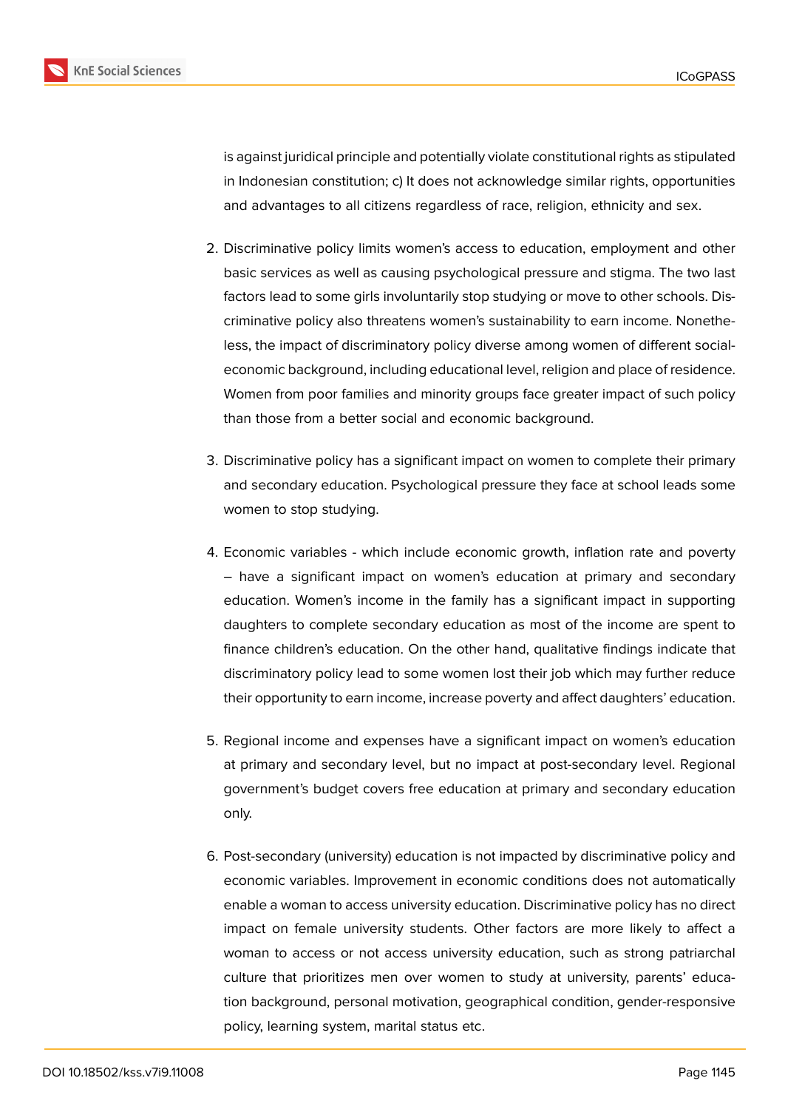

is against juridical principle and potentially violate constitutional rights as stipulated in Indonesian constitution; c) It does not acknowledge similar rights, opportunities and advantages to all citizens regardless of race, religion, ethnicity and sex.

- 2. Discriminative policy limits women's access to education, employment and other basic services as well as causing psychological pressure and stigma. The two last factors lead to some girls involuntarily stop studying or move to other schools. Discriminative policy also threatens women's sustainability to earn income. Nonetheless, the impact of discriminatory policy diverse among women of different socialeconomic background, including educational level, religion and place of residence. Women from poor families and minority groups face greater impact of such policy than those from a better social and economic background.
- 3. Discriminative policy has a significant impact on women to complete their primary and secondary education. Psychological pressure they face at school leads some women to stop studying.
- 4. Economic variables which include economic growth, inflation rate and poverty – have a significant impact on women's education at primary and secondary education. Women's income in the family has a significant impact in supporting daughters to complete secondary education as most of the income are spent to finance children's education. On the other hand, qualitative findings indicate that discriminatory policy lead to some women lost their job which may further reduce their opportunity to earn income, increase poverty and affect daughters' education.
- 5. Regional income and expenses have a significant impact on women's education at primary and secondary level, but no impact at post-secondary level. Regional government's budget covers free education at primary and secondary education only.
- 6. Post-secondary (university) education is not impacted by discriminative policy and economic variables. Improvement in economic conditions does not automatically enable a woman to access university education. Discriminative policy has no direct impact on female university students. Other factors are more likely to affect a woman to access or not access university education, such as strong patriarchal culture that prioritizes men over women to study at university, parents' education background, personal motivation, geographical condition, gender-responsive policy, learning system, marital status etc.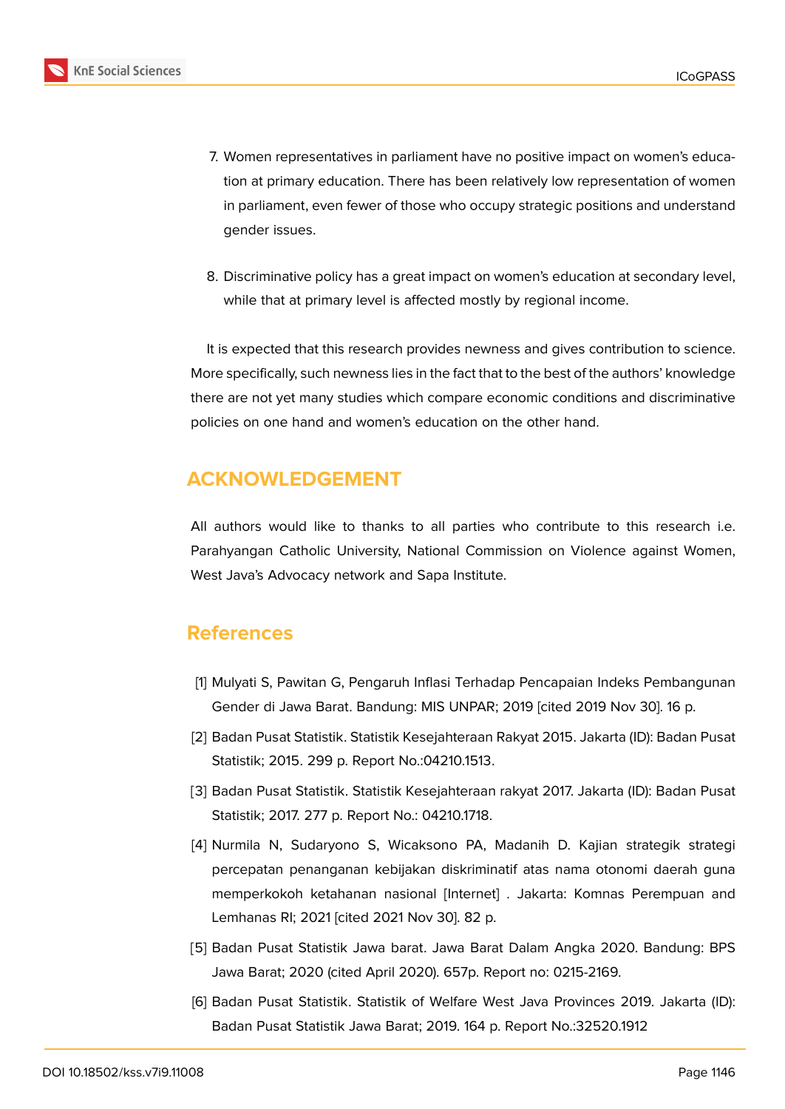

- 7. Women representatives in parliament have no positive impact on women's education at primary education. There has been relatively low representation of women in parliament, even fewer of those who occupy strategic positions and understand gender issues.
- 8. Discriminative policy has a great impact on women's education at secondary level, while that at primary level is affected mostly by regional income.

It is expected that this research provides newness and gives contribution to science. More specifically, such newness lies in the fact that to the best of the authors' knowledge there are not yet many studies which compare economic conditions and discriminative policies on one hand and women's education on the other hand.

# **ACKNOWLEDGEMENT**

All authors would like to thanks to all parties who contribute to this research i.e. Parahyangan Catholic University, National Commission on Violence against Women, West Java's Advocacy network and Sapa Institute.

# **References**

- <span id="page-9-0"></span>[1] Mulyati S, Pawitan G, Pengaruh Inflasi Terhadap Pencapaian Indeks Pembangunan Gender di Jawa Barat. Bandung: MIS UNPAR; 2019 [cited 2019 Nov 30]. 16 p.
- <span id="page-9-1"></span>[2] Badan Pusat Statistik. Statistik Kesejahteraan Rakyat 2015. Jakarta (ID): Badan Pusat Statistik; 2015. 299 p. Report No.:04210.1513.
- [3] Badan Pusat Statistik. Statistik Kesejahteraan rakyat 2017. Jakarta (ID): Badan Pusat Statistik; 2017. 277 p. Report No.: 04210.1718.
- <span id="page-9-2"></span>[4] Nurmila N, Sudaryono S, Wicaksono PA, Madanih D. Kajian strategik strategi percepatan penanganan kebijakan diskriminatif atas nama otonomi daerah guna memperkokoh ketahanan nasional [Internet] . Jakarta: Komnas Perempuan and Lemhanas RI; 2021 [cited 2021 Nov 30]. 82 p.
- <span id="page-9-3"></span>[5] Badan Pusat Statistik Jawa barat. Jawa Barat Dalam Angka 2020. Bandung: BPS Jawa Barat; 2020 (cited April 2020). 657p. Report no: 0215-2169.
- <span id="page-9-4"></span>[6] Badan Pusat Statistik. Statistik of Welfare West Java Provinces 2019. Jakarta (ID): Badan Pusat Statistik Jawa Barat; 2019. 164 p. Report No.:32520.1912